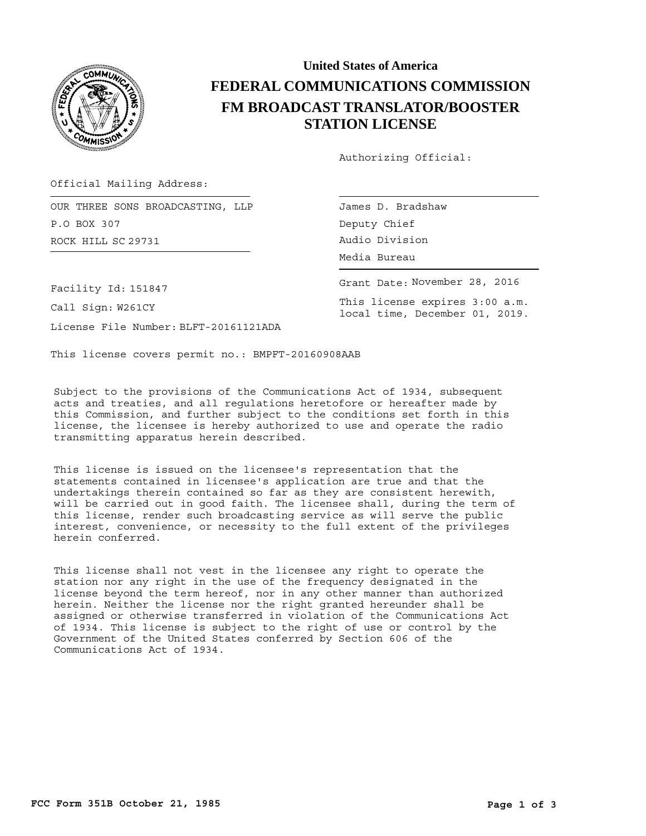

## **United States of America FEDERAL COMMUNICATIONS COMMISSION FM BROADCAST TRANSLATOR/BOOSTER STATION LICENSE**

Authorizing Official:

James D. Bradshaw

Deputy Chief

Official Mailing Address:

ROCK HILL Audio Division SC 29731 OUR THREE SONS BROADCASTING, LLP P.O BOX 307

Facility Id: 151847

Call Sign: W261CY

License File Number: BLFT-20161121ADA

This license covers permit no.: BMPFT-20160908AAB

Subject to the provisions of the Communications Act of 1934, subsequent acts and treaties, and all regulations heretofore or hereafter made by this Commission, and further subject to the conditions set forth in this license, the licensee is hereby authorized to use and operate the radio transmitting apparatus herein described.

This license is issued on the licensee's representation that the statements contained in licensee's application are true and that the undertakings therein contained so far as they are consistent herewith, will be carried out in good faith. The licensee shall, during the term of this license, render such broadcasting service as will serve the public interest, convenience, or necessity to the full extent of the privileges herein conferred.

This license shall not vest in the licensee any right to operate the station nor any right in the use of the frequency designated in the license beyond the term hereof, nor in any other manner than authorized herein. Neither the license nor the right granted hereunder shall be assigned or otherwise transferred in violation of the Communications Act of 1934. This license is subject to the right of use or control by the Government of the United States conferred by Section 606 of the Communications Act of 1934.

Media Bureau Grant Date: November 28, 2016

This license expires 3:00 a.m. local time, December 01, 2019.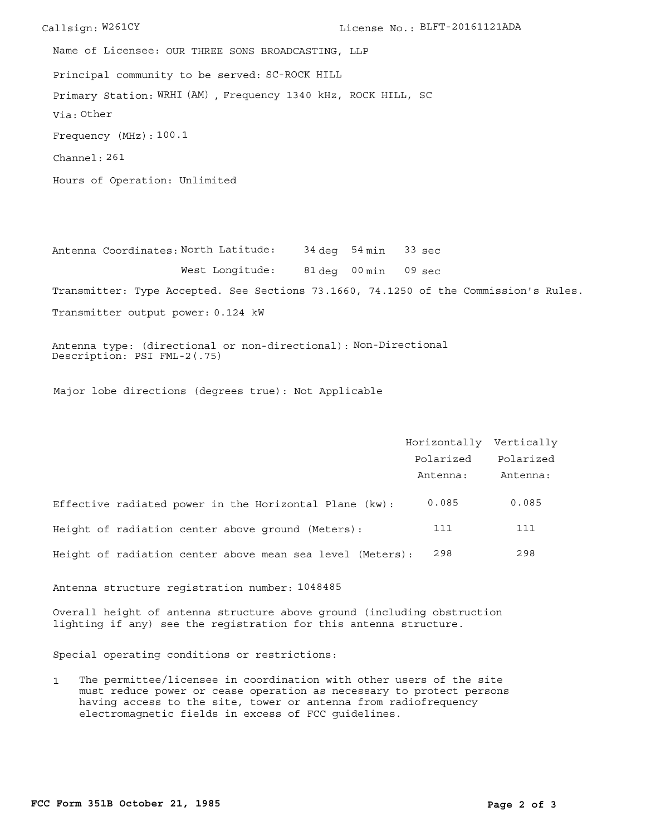Callsign: W261CY License No.: BLFT-20161121ADA Principal community to be served: SC-ROCK HILL Hours of Operation: Unlimited Frequency (MHz): 100.1 Via: Other Primary Station: WRHI (AM), Frequency 1340 kHz, ROCK HILL, SC Channel: 261 Name of Licensee: OUR THREE SONS BROADCASTING, LLP

Antenna Coordinates: North Latitude: 34 deg 54 min 81 deg 00 min 09 sec West Longitude: Transmitter: Type Accepted. See Sections 73.1660, 74.1250 of the Commission's Rules. 33 sec

Transmitter output power: 0.124 kW

Antenna type: (directional or non-directional): Non-Directional Description: PSI FML-2(.75)

Major lobe directions (degrees true): Not Applicable

|                                                           | Horizontally Vertically |           |
|-----------------------------------------------------------|-------------------------|-----------|
|                                                           | Polarized               | Polarized |
|                                                           | Antenna:                | Antenna:  |
| Effective radiated power in the Horizontal Plane (kw):    | 0.085                   | 0.085     |
| Height of radiation center above ground (Meters):         | 111                     | 111       |
| Height of radiation center above mean sea level (Meters): | 298                     | 298       |

Antenna structure registration number: 1048485

Overall height of antenna structure above ground (including obstruction lighting if any) see the registration for this antenna structure.

Special operating conditions or restrictions:

1 The permittee/licensee in coordination with other users of the site must reduce power or cease operation as necessary to protect persons having access to the site, tower or antenna from radiofrequency electromagnetic fields in excess of FCC guidelines.